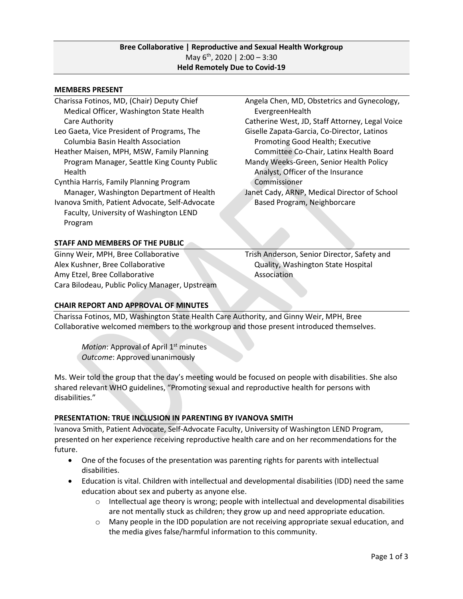# **Bree Collaborative | Reproductive and Sexual Health Workgroup** May  $6^{th}$ , 2020 | 2:00 - 3:30 **Held Remotely Due to Covid-19**

#### **MEMBERS PRESENT**

- Charissa Fotinos, MD, (Chair) Deputy Chief Medical Officer, Washington State Health Care Authority
- Leo Gaeta, Vice President of Programs, The Columbia Basin Health Association
- Heather Maisen, MPH, MSW, Family Planning Program Manager, Seattle King County Public Health
- Cynthia Harris, Family Planning Program Manager, Washington Department of Health
- Ivanova Smith, Patient Advocate, Self-Advocate Faculty, University of Washington LEND Program

### **STAFF AND MEMBERS OF THE PUBLIC**

Ginny Weir, MPH, Bree Collaborative Alex Kushner, Bree Collaborative Amy Etzel, Bree Collaborative Cara Bilodeau, Public Policy Manager, Upstream Angela Chen, MD, Obstetrics and Gynecology, EvergreenHealth Catherine West, JD, Staff Attorney, Legal Voice Giselle Zapata-Garcia, Co-Director, Latinos Promoting Good Health; Executive Committee Co-Chair, Latinx Health Board Mandy Weeks-Green, Senior Health Policy Analyst, Officer of the Insurance Commissioner Janet Cady, ARNP, Medical Director of School Based Program, Neighborcare

Trish Anderson, Senior Director, Safety and Quality, Washington State Hospital Association

### **CHAIR REPORT AND APPROVAL OF MINUTES**

Charissa Fotinos, MD, Washington State Health Care Authority, and Ginny Weir, MPH, Bree Collaborative welcomed members to the workgroup and those present introduced themselves.

Motion: Approval of April 1<sup>st</sup> minutes *Outcome*: Approved unanimously

Ms. Weir told the group that the day's meeting would be focused on people with disabilities. She also shared relevant WHO guidelines, "Promoting sexual and reproductive health for persons with disabilities."

### **PRESENTATION: TRUE INCLUSION IN PARENTING BY IVANOVA SMITH**

Ivanova Smith, Patient Advocate, Self-Advocate Faculty, University of Washington LEND Program, presented on her experience receiving reproductive health care and on her recommendations for the future.

- One of the focuses of the presentation was parenting rights for parents with intellectual disabilities.
- Education is vital. Children with intellectual and developmental disabilities (IDD) need the same education about sex and puberty as anyone else.
	- $\circ$  Intellectual age theory is wrong; people with intellectual and developmental disabilities are not mentally stuck as children; they grow up and need appropriate education.
	- $\circ$  Many people in the IDD population are not receiving appropriate sexual education, and the media gives false/harmful information to this community.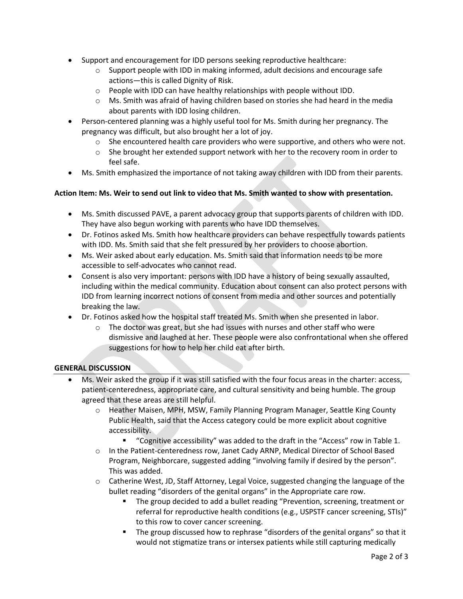- Support and encouragement for IDD persons seeking reproductive healthcare:
	- $\circ$  Support people with IDD in making informed, adult decisions and encourage safe actions—this is called Dignity of Risk.
	- o People with IDD can have healthy relationships with people without IDD.
	- $\circ$  Ms. Smith was afraid of having children based on stories she had heard in the media about parents with IDD losing children.
- Person-centered planning was a highly useful tool for Ms. Smith during her pregnancy. The pregnancy was difficult, but also brought her a lot of joy.
	- $\circ$  She encountered health care providers who were supportive, and others who were not.
	- o She brought her extended support network with her to the recovery room in order to feel safe.
- Ms. Smith emphasized the importance of not taking away children with IDD from their parents.

### **Action Item: Ms. Weir to send out link to video that Ms. Smith wanted to show with presentation.**

- Ms. Smith discussed PAVE, a parent advocacy group that supports parents of children with IDD. They have also begun working with parents who have IDD themselves.
- Dr. Fotinos asked Ms. Smith how healthcare providers can behave respectfully towards patients with IDD. Ms. Smith said that she felt pressured by her providers to choose abortion.
- Ms. Weir asked about early education. Ms. Smith said that information needs to be more accessible to self-advocates who cannot read.
- Consent is also very important: persons with IDD have a history of being sexually assaulted, including within the medical community. Education about consent can also protect persons with IDD from learning incorrect notions of consent from media and other sources and potentially breaking the law.
- Dr. Fotinos asked how the hospital staff treated Ms. Smith when she presented in labor.
	- $\circ$  The doctor was great, but she had issues with nurses and other staff who were dismissive and laughed at her. These people were also confrontational when she offered suggestions for how to help her child eat after birth.

### **GENERAL DISCUSSION**

- Ms. Weir asked the group if it was still satisfied with the four focus areas in the charter: access, patient-centeredness, appropriate care, and cultural sensitivity and being humble. The group agreed that these areas are still helpful.
	- o Heather Maisen, MPH, MSW, Family Planning Program Manager, Seattle King County Public Health, said that the Access category could be more explicit about cognitive accessibility.
		- "Cognitive accessibility" was added to the draft in the "Access" row in Table 1.
	- o In the Patient-centeredness row, Janet Cady ARNP, Medical Director of School Based Program, Neighborcare, suggested adding "involving family if desired by the person". This was added.
	- o Catherine West, JD, Staff Attorney, Legal Voice, suggested changing the language of the bullet reading "disorders of the genital organs" in the Appropriate care row.
		- The group decided to add a bullet reading "Prevention, screening, treatment or referral for reproductive health conditions (e.g., USPSTF cancer screening, STIs)" to this row to cover cancer screening.
		- The group discussed how to rephrase "disorders of the genital organs" so that it would not stigmatize trans or intersex patients while still capturing medically